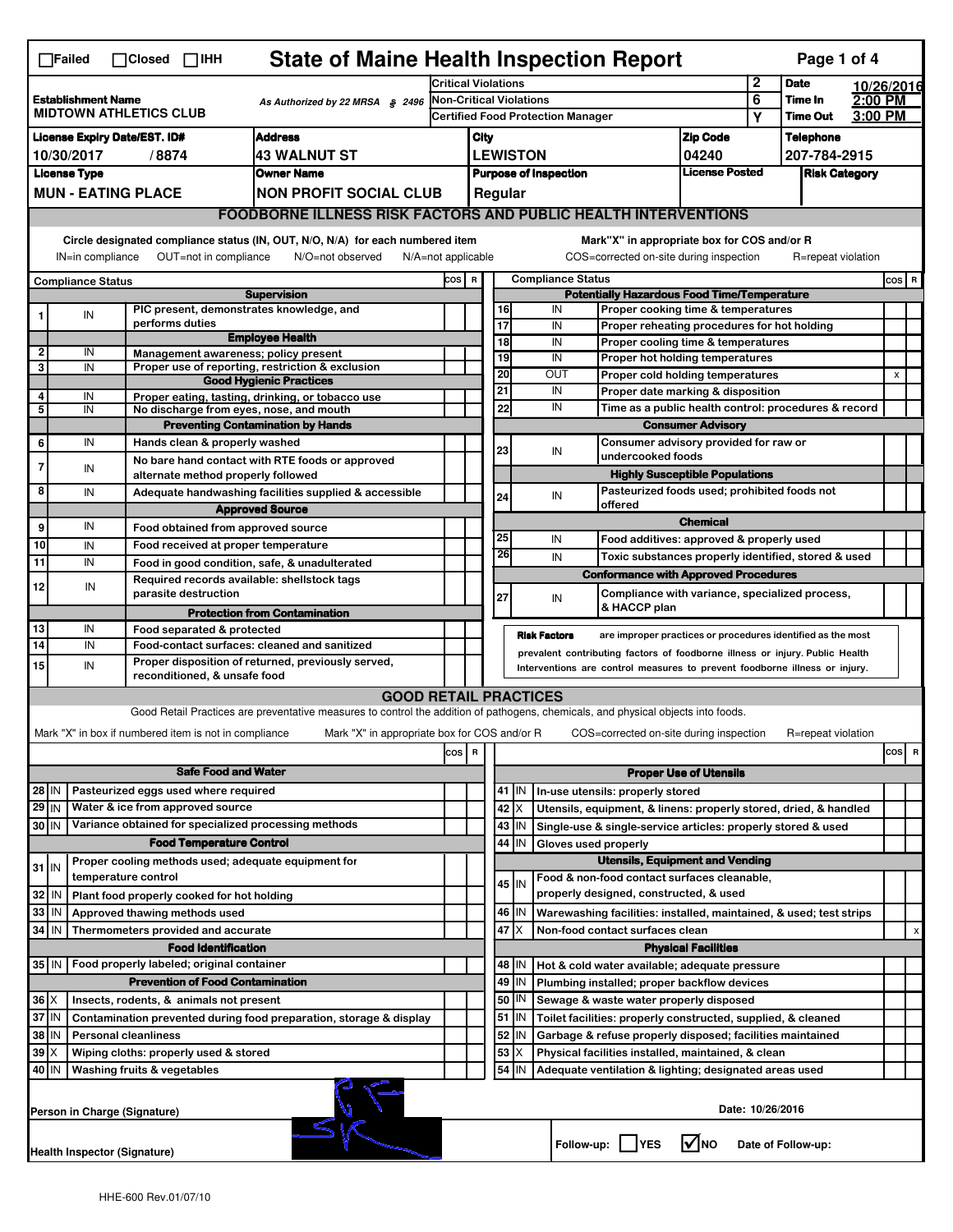| <b>State of Maine Health Inspection Report</b><br>Page 1 of 4<br>$\Box$ Failed<br>$\Box$ Closed $\Box$ IHH                                                                                                                                                                                |                                                                                                                                                                        |                                                       |                                                                                                                                   |        |                                                                              |                            |                                                                                                                        |                                                    |                                                                                  |                               |                      |                    |            |                |                           |  |
|-------------------------------------------------------------------------------------------------------------------------------------------------------------------------------------------------------------------------------------------------------------------------------------------|------------------------------------------------------------------------------------------------------------------------------------------------------------------------|-------------------------------------------------------|-----------------------------------------------------------------------------------------------------------------------------------|--------|------------------------------------------------------------------------------|----------------------------|------------------------------------------------------------------------------------------------------------------------|----------------------------------------------------|----------------------------------------------------------------------------------|-------------------------------|----------------------|--------------------|------------|----------------|---------------------------|--|
|                                                                                                                                                                                                                                                                                           |                                                                                                                                                                        |                                                       |                                                                                                                                   |        | <b>Critical Violations</b>                                                   |                            |                                                                                                                        |                                                    |                                                                                  |                               | $\mathbf{2}$         | <b>Date</b>        | 10/26/2016 |                |                           |  |
| <b>Establishment Name</b><br>As Authorized by 22 MRSA § 2496                                                                                                                                                                                                                              |                                                                                                                                                                        |                                                       |                                                                                                                                   |        | <b>Non-Critical Violations</b>                                               |                            |                                                                                                                        |                                                    |                                                                                  | 6                             | Time In              | 2:00 PM            |            |                |                           |  |
| <b>MIDTOWN ATHLETICS CLUB</b>                                                                                                                                                                                                                                                             |                                                                                                                                                                        |                                                       |                                                                                                                                   |        | <b>Certified Food Protection Manager</b>                                     |                            |                                                                                                                        |                                                    |                                                                                  | Υ                             | <b>Time Out</b>      | 3:00 PM            |            |                |                           |  |
| <b>Address</b><br><b>License Expiry Date/EST. ID#</b>                                                                                                                                                                                                                                     |                                                                                                                                                                        |                                                       |                                                                                                                                   |        | <b>Zip Code</b><br>City                                                      |                            |                                                                                                                        |                                                    |                                                                                  |                               | <b>Telephone</b>     |                    |            |                |                           |  |
| <b>43 WALNUT ST</b><br>10/30/2017<br>/8874                                                                                                                                                                                                                                                |                                                                                                                                                                        |                                                       |                                                                                                                                   |        | <b>LEWISTON</b><br>04240                                                     |                            |                                                                                                                        |                                                    |                                                                                  | 207-784-2915                  |                      |                    |            |                |                           |  |
| <b>License Type</b><br><b>Owner Name</b>                                                                                                                                                                                                                                                  |                                                                                                                                                                        |                                                       |                                                                                                                                   |        | <b>License Posted</b><br><b>Purpose of Inspection</b>                        |                            |                                                                                                                        |                                                    |                                                                                  |                               | <b>Risk Category</b> |                    |            |                |                           |  |
|                                                                                                                                                                                                                                                                                           | <b>MUN - EATING PLACE</b><br><b>NON PROFIT SOCIAL CLUB</b>                                                                                                             |                                                       |                                                                                                                                   |        |                                                                              |                            | Regular                                                                                                                |                                                    |                                                                                  |                               |                      |                    |            |                |                           |  |
|                                                                                                                                                                                                                                                                                           |                                                                                                                                                                        |                                                       | <b>FOODBORNE ILLNESS RISK FACTORS AND PUBLIC HEALTH INTERVENTIONS</b>                                                             |        |                                                                              |                            |                                                                                                                        |                                                    |                                                                                  |                               |                      |                    |            |                |                           |  |
| Circle designated compliance status (IN, OUT, N/O, N/A) for each numbered item<br>Mark"X" in appropriate box for COS and/or R<br>OUT=not in compliance<br>COS=corrected on-site during inspection<br>IN=in compliance<br>N/O=not observed<br>$N/A = not$ applicable<br>R=repeat violation |                                                                                                                                                                        |                                                       |                                                                                                                                   |        |                                                                              |                            |                                                                                                                        |                                                    |                                                                                  |                               |                      |                    |            |                |                           |  |
| <b>Compliance Status</b>                                                                                                                                                                                                                                                                  |                                                                                                                                                                        |                                                       |                                                                                                                                   |        | COS R                                                                        | <b>Compliance Status</b>   |                                                                                                                        |                                                    |                                                                                  |                               |                      |                    |            | $cos$ R        |                           |  |
|                                                                                                                                                                                                                                                                                           |                                                                                                                                                                        |                                                       | <b>Supervision</b>                                                                                                                |        |                                                                              |                            |                                                                                                                        |                                                    | <b>Potentially Hazardous Food Time/Temperature</b>                               |                               |                      |                    |            |                |                           |  |
|                                                                                                                                                                                                                                                                                           | ${\sf IN}$                                                                                                                                                             | PIC present, demonstrates knowledge, and              |                                                                                                                                   |        |                                                                              |                            | 16                                                                                                                     | IN                                                 | Proper cooking time & temperatures                                               |                               |                      |                    |            |                |                           |  |
|                                                                                                                                                                                                                                                                                           |                                                                                                                                                                        | performs duties                                       | <b>Employee Health</b>                                                                                                            |        |                                                                              |                            | 17                                                                                                                     | IN                                                 | Proper reheating procedures for hot holding                                      |                               |                      |                    |            |                |                           |  |
| 2                                                                                                                                                                                                                                                                                         | IN                                                                                                                                                                     | Management awareness; policy present                  |                                                                                                                                   |        |                                                                              |                            | $\overline{18}$<br>19                                                                                                  | IN<br>IN                                           | Proper cooling time & temperatures<br>Proper hot holding temperatures            |                               |                      |                    |            |                |                           |  |
| 3                                                                                                                                                                                                                                                                                         | IN                                                                                                                                                                     |                                                       | Proper use of reporting, restriction & exclusion                                                                                  |        |                                                                              |                            | 20                                                                                                                     | <b>OUT</b>                                         | Proper cold holding temperatures                                                 |                               |                      |                    |            | $\pmb{\times}$ |                           |  |
|                                                                                                                                                                                                                                                                                           |                                                                                                                                                                        |                                                       | <b>Good Hygienic Practices</b>                                                                                                    |        |                                                                              |                            | 21                                                                                                                     | IN                                                 | Proper date marking & disposition                                                |                               |                      |                    |            |                |                           |  |
| 4<br>5                                                                                                                                                                                                                                                                                    | IN<br>IN                                                                                                                                                               | No discharge from eyes, nose, and mouth               | Proper eating, tasting, drinking, or tobacco use                                                                                  |        |                                                                              |                            | 22                                                                                                                     | IN                                                 |                                                                                  |                               |                      |                    |            |                |                           |  |
|                                                                                                                                                                                                                                                                                           |                                                                                                                                                                        |                                                       | <b>Preventing Contamination by Hands</b>                                                                                          |        |                                                                              |                            |                                                                                                                        |                                                    | Time as a public health control: procedures & record<br><b>Consumer Advisory</b> |                               |                      |                    |            |                |                           |  |
| 6                                                                                                                                                                                                                                                                                         | IN                                                                                                                                                                     | Hands clean & properly washed                         |                                                                                                                                   |        |                                                                              |                            |                                                                                                                        |                                                    | Consumer advisory provided for raw or                                            |                               |                      |                    |            |                |                           |  |
| $\overline{7}$                                                                                                                                                                                                                                                                            |                                                                                                                                                                        |                                                       | No bare hand contact with RTE foods or approved                                                                                   |        |                                                                              |                            | 23                                                                                                                     | IN                                                 | undercooked foods                                                                |                               |                      |                    |            |                |                           |  |
|                                                                                                                                                                                                                                                                                           | IN                                                                                                                                                                     | alternate method properly followed                    |                                                                                                                                   |        |                                                                              |                            |                                                                                                                        |                                                    | <b>Highly Susceptible Populations</b>                                            |                               |                      |                    |            |                |                           |  |
| 8                                                                                                                                                                                                                                                                                         | IN                                                                                                                                                                     |                                                       | Adequate handwashing facilities supplied & accessible                                                                             |        |                                                                              |                            | 24                                                                                                                     | Pasteurized foods used; prohibited foods not<br>IN |                                                                                  |                               |                      |                    |            |                |                           |  |
|                                                                                                                                                                                                                                                                                           |                                                                                                                                                                        |                                                       | <b>Approved Source</b>                                                                                                            |        |                                                                              |                            |                                                                                                                        |                                                    | offered                                                                          |                               |                      |                    |            |                |                           |  |
| 9                                                                                                                                                                                                                                                                                         | IN                                                                                                                                                                     | Food obtained from approved source                    |                                                                                                                                   |        |                                                                              |                            | 25                                                                                                                     |                                                    |                                                                                  | <b>Chemical</b>               |                      |                    |            |                |                           |  |
| 10                                                                                                                                                                                                                                                                                        | IN                                                                                                                                                                     | Food received at proper temperature                   |                                                                                                                                   |        |                                                                              |                            | 26                                                                                                                     | IN                                                 | Food additives: approved & properly used                                         |                               |                      |                    |            |                |                           |  |
| 11                                                                                                                                                                                                                                                                                        | IN                                                                                                                                                                     |                                                       | Food in good condition, safe, & unadulterated                                                                                     |        |                                                                              |                            |                                                                                                                        | IN                                                 | Toxic substances properly identified, stored & used                              |                               |                      |                    |            |                |                           |  |
| 12                                                                                                                                                                                                                                                                                        | IN                                                                                                                                                                     | Required records available: shellstock tags           |                                                                                                                                   |        |                                                                              |                            |                                                                                                                        |                                                    | <b>Conformance with Approved Procedures</b>                                      |                               |                      |                    |            |                |                           |  |
|                                                                                                                                                                                                                                                                                           |                                                                                                                                                                        | parasite destruction                                  |                                                                                                                                   |        |                                                                              |                            | 27                                                                                                                     | IN                                                 | Compliance with variance, specialized process,<br>& HACCP plan                   |                               |                      |                    |            |                |                           |  |
|                                                                                                                                                                                                                                                                                           |                                                                                                                                                                        |                                                       | <b>Protection from Contamination</b>                                                                                              |        |                                                                              |                            |                                                                                                                        |                                                    |                                                                                  |                               |                      |                    |            |                |                           |  |
| 13<br>14                                                                                                                                                                                                                                                                                  | IN<br>IN                                                                                                                                                               | Food separated & protected                            |                                                                                                                                   |        |                                                                              |                            |                                                                                                                        | <b>Risk Factors</b>                                | are improper practices or procedures identified as the most                      |                               |                      |                    |            |                |                           |  |
|                                                                                                                                                                                                                                                                                           |                                                                                                                                                                        |                                                       | Food-contact surfaces: cleaned and sanitized                                                                                      |        | prevalent contributing factors of foodborne illness or injury. Public Health |                            |                                                                                                                        |                                                    |                                                                                  |                               |                      |                    |            |                |                           |  |
| 15                                                                                                                                                                                                                                                                                        | Proper disposition of returned, previously served,<br>IN<br>Interventions are control measures to prevent foodborne illness or injury.<br>reconditioned, & unsafe food |                                                       |                                                                                                                                   |        |                                                                              |                            |                                                                                                                        |                                                    |                                                                                  |                               |                      |                    |            |                |                           |  |
|                                                                                                                                                                                                                                                                                           |                                                                                                                                                                        |                                                       | <b>GOOD RETAIL PRACTICES</b>                                                                                                      |        |                                                                              |                            |                                                                                                                        |                                                    |                                                                                  |                               |                      |                    |            |                |                           |  |
|                                                                                                                                                                                                                                                                                           |                                                                                                                                                                        |                                                       | Good Retail Practices are preventative measures to control the addition of pathogens, chemicals, and physical objects into foods. |        |                                                                              |                            |                                                                                                                        |                                                    |                                                                                  |                               |                      |                    |            |                |                           |  |
|                                                                                                                                                                                                                                                                                           |                                                                                                                                                                        | Mark "X" in box if numbered item is not in compliance | Mark "X" in appropriate box for COS and/or R                                                                                      |        |                                                                              |                            |                                                                                                                        |                                                    | COS=corrected on-site during inspection                                          |                               |                      | R=repeat violation |            |                |                           |  |
|                                                                                                                                                                                                                                                                                           |                                                                                                                                                                        |                                                       |                                                                                                                                   | $\cos$ | R                                                                            |                            |                                                                                                                        |                                                    |                                                                                  |                               |                      |                    |            | cosl           | R                         |  |
|                                                                                                                                                                                                                                                                                           |                                                                                                                                                                        |                                                       |                                                                                                                                   |        |                                                                              |                            |                                                                                                                        |                                                    |                                                                                  |                               |                      |                    |            |                |                           |  |
| <b>Safe Food and Water</b><br>Pasteurized eggs used where required<br>$28$ IN                                                                                                                                                                                                             |                                                                                                                                                                        |                                                       |                                                                                                                                   |        |                                                                              |                            |                                                                                                                        |                                                    |                                                                                  | <b>Proper Use of Utensils</b> |                      |                    |            |                |                           |  |
| $29$ IN                                                                                                                                                                                                                                                                                   |                                                                                                                                                                        | Water & ice from approved source                      |                                                                                                                                   |        |                                                                              |                            | $41$ M                                                                                                                 |                                                    | In-use utensils: properly stored                                                 |                               |                      |                    |            |                |                           |  |
|                                                                                                                                                                                                                                                                                           |                                                                                                                                                                        |                                                       |                                                                                                                                   |        |                                                                              |                            | 42   X                                                                                                                 |                                                    | Utensils, equipment, & linens: properly stored, dried, & handled                 |                               |                      |                    |            |                |                           |  |
| Variance obtained for specialized processing methods<br>30 IN<br><b>Food Temperature Control</b>                                                                                                                                                                                          |                                                                                                                                                                        |                                                       |                                                                                                                                   |        |                                                                              |                            | $43$   IN<br>44<br>ΙIΝ                                                                                                 | Gloves used properly                               | Single-use & single-service articles: properly stored & used                     |                               |                      |                    |            |                |                           |  |
|                                                                                                                                                                                                                                                                                           |                                                                                                                                                                        | Proper cooling methods used; adequate equipment for   |                                                                                                                                   |        |                                                                              |                            |                                                                                                                        |                                                    | <b>Utensils, Equipment and Vending</b>                                           |                               |                      |                    |            |                |                           |  |
| $31$ IN                                                                                                                                                                                                                                                                                   |                                                                                                                                                                        | temperature control                                   |                                                                                                                                   |        |                                                                              |                            |                                                                                                                        |                                                    | Food & non-food contact surfaces cleanable,                                      |                               |                      |                    |            |                |                           |  |
| 32                                                                                                                                                                                                                                                                                        | IN                                                                                                                                                                     | Plant food properly cooked for hot holding            |                                                                                                                                   |        |                                                                              |                            | 45 IN                                                                                                                  |                                                    | properly designed, constructed, & used                                           |                               |                      |                    |            |                |                           |  |
| 33                                                                                                                                                                                                                                                                                        | IN                                                                                                                                                                     | Approved thawing methods used                         |                                                                                                                                   |        |                                                                              |                            | 46   IN                                                                                                                |                                                    |                                                                                  |                               |                      |                    |            |                |                           |  |
| 34                                                                                                                                                                                                                                                                                        | IN                                                                                                                                                                     | Thermometers provided and accurate                    |                                                                                                                                   |        |                                                                              |                            | Warewashing facilities: installed, maintained, & used; test strips<br>$47$ $\times$<br>Non-food contact surfaces clean |                                                    |                                                                                  |                               |                      |                    |            |                | $\boldsymbol{\mathsf{x}}$ |  |
|                                                                                                                                                                                                                                                                                           |                                                                                                                                                                        | <b>Food Identification</b>                            |                                                                                                                                   |        |                                                                              | <b>Physical Facilities</b> |                                                                                                                        |                                                    |                                                                                  |                               |                      |                    |            |                |                           |  |
| 35 IN<br>Food properly labeled; original container<br>48   IN<br>Hot & cold water available; adequate pressure                                                                                                                                                                            |                                                                                                                                                                        |                                                       |                                                                                                                                   |        |                                                                              |                            |                                                                                                                        |                                                    |                                                                                  |                               |                      |                    |            |                |                           |  |
| <b>Prevention of Food Contamination</b>                                                                                                                                                                                                                                                   |                                                                                                                                                                        |                                                       |                                                                                                                                   |        |                                                                              |                            | $49$ IN                                                                                                                |                                                    | Plumbing installed; proper backflow devices                                      |                               |                      |                    |            |                |                           |  |
| $36 \times$                                                                                                                                                                                                                                                                               |                                                                                                                                                                        | Insects, rodents, & animals not present               |                                                                                                                                   |        |                                                                              |                            | 50   IN                                                                                                                |                                                    | Sewage & waste water properly disposed                                           |                               |                      |                    |            |                |                           |  |
| 37 IN<br>Contamination prevented during food preparation, storage & display                                                                                                                                                                                                               |                                                                                                                                                                        |                                                       |                                                                                                                                   |        |                                                                              |                            | $51$ $\vert$ IN                                                                                                        |                                                    | Toilet facilities: properly constructed, supplied, & cleaned                     |                               |                      |                    |            |                |                           |  |
| 38<br>IN<br><b>Personal cleanliness</b>                                                                                                                                                                                                                                                   |                                                                                                                                                                        |                                                       |                                                                                                                                   |        |                                                                              |                            | 52<br>IN                                                                                                               |                                                    | Garbage & refuse properly disposed; facilities maintained                        |                               |                      |                    |            |                |                           |  |
| 39<br>X<br>Wiping cloths: properly used & stored                                                                                                                                                                                                                                          |                                                                                                                                                                        |                                                       |                                                                                                                                   |        |                                                                              |                            | 53<br>Х                                                                                                                |                                                    | Physical facilities installed, maintained, & clean                               |                               |                      |                    |            |                |                           |  |
| 40                                                                                                                                                                                                                                                                                        | ΙM<br>Washing fruits & vegetables<br>54 J IN<br>Adequate ventilation & lighting; designated areas used                                                                 |                                                       |                                                                                                                                   |        |                                                                              |                            |                                                                                                                        |                                                    |                                                                                  |                               |                      |                    |            |                |                           |  |
|                                                                                                                                                                                                                                                                                           | Date: 10/26/2016<br>Person in Charge (Signature)                                                                                                                       |                                                       |                                                                                                                                   |        |                                                                              |                            |                                                                                                                        |                                                    |                                                                                  |                               |                      |                    |            |                |                           |  |
|                                                                                                                                                                                                                                                                                           | l√lno<br>Follow-up:  <br><b>IYES</b><br>Date of Follow-up:<br><b>Health Inspector (Signature)</b>                                                                      |                                                       |                                                                                                                                   |        |                                                                              |                            |                                                                                                                        |                                                    |                                                                                  |                               |                      |                    |            |                |                           |  |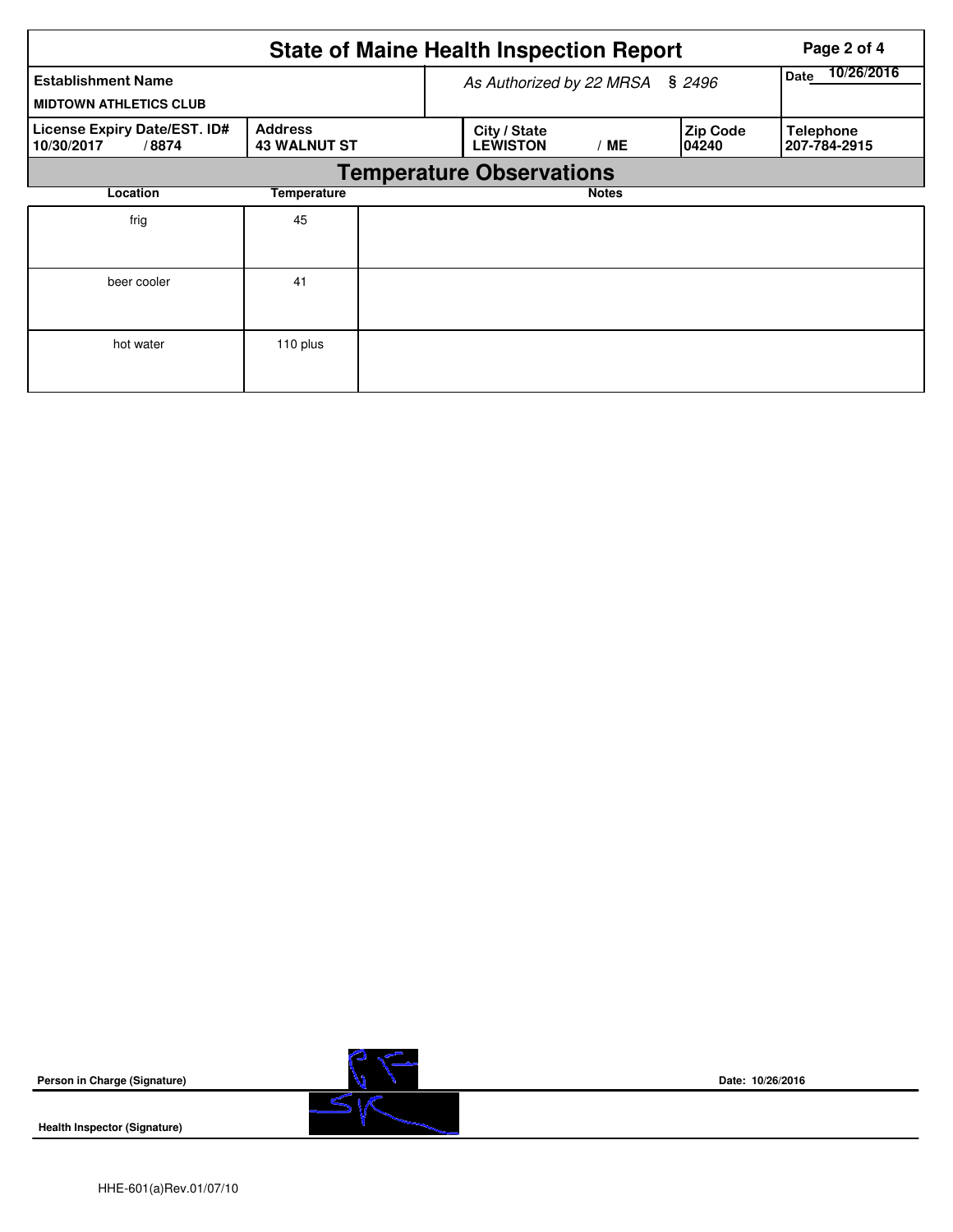|                                                            |                                       | <b>State of Maine Health Inspection Report</b> | Page 2 of 4  |                           |                                  |  |  |
|------------------------------------------------------------|---------------------------------------|------------------------------------------------|--------------|---------------------------|----------------------------------|--|--|
| <b>Establishment Name</b><br><b>MIDTOWN ATHLETICS CLUB</b> | As Authorized by 22 MRSA              | 10/26/2016<br>Date                             |              |                           |                                  |  |  |
| License Expiry Date/EST. ID#<br>/8874<br>10/30/2017        | <b>Address</b><br><b>43 WALNUT ST</b> | City / State<br><b>LEWISTON</b>                | ' ME         | <b>Zip Code</b><br>104240 | <b>Telephone</b><br>207-784-2915 |  |  |
|                                                            |                                       | <b>Temperature Observations</b>                |              |                           |                                  |  |  |
| Location                                                   | Temperature                           |                                                | <b>Notes</b> |                           |                                  |  |  |
| frig                                                       | 45                                    |                                                |              |                           |                                  |  |  |
| beer cooler                                                | 41                                    |                                                |              |                           |                                  |  |  |
| hot water                                                  | 110 plus                              |                                                |              |                           |                                  |  |  |

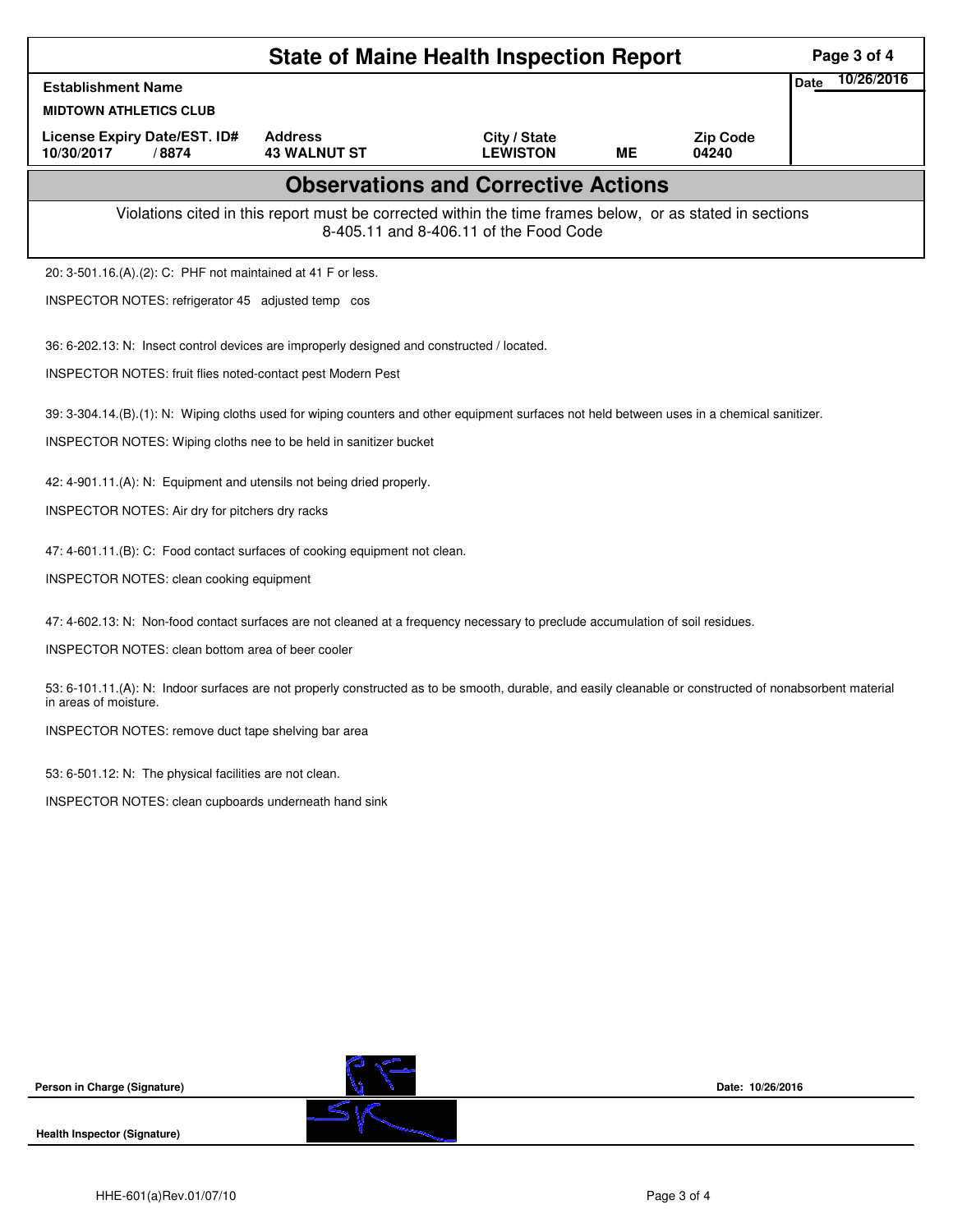|                                                                                                                                                                                   |                                                                                                          | Page 3 of 4                                |           |                          |  |  |
|-----------------------------------------------------------------------------------------------------------------------------------------------------------------------------------|----------------------------------------------------------------------------------------------------------|--------------------------------------------|-----------|--------------------------|--|--|
| <b>Establishment Name</b>                                                                                                                                                         | <b>Date</b>                                                                                              | 10/26/2016                                 |           |                          |  |  |
| <b>MIDTOWN ATHLETICS CLUB</b>                                                                                                                                                     |                                                                                                          |                                            |           |                          |  |  |
| License Expiry Date/EST. ID#<br>10/30/2017<br>/8874                                                                                                                               | <b>Address</b><br><b>43 WALNUT ST</b>                                                                    | City / State<br><b>LEWISTON</b>            | <b>ME</b> | <b>Zip Code</b><br>04240 |  |  |
|                                                                                                                                                                                   |                                                                                                          | <b>Observations and Corrective Actions</b> |           |                          |  |  |
|                                                                                                                                                                                   | Violations cited in this report must be corrected within the time frames below, or as stated in sections | 8-405.11 and 8-406.11 of the Food Code     |           |                          |  |  |
| 20: 3-501.16.(A).(2): C: PHF not maintained at 41 F or less.                                                                                                                      |                                                                                                          |                                            |           |                          |  |  |
| INSPECTOR NOTES: refrigerator 45 adjusted temp cos                                                                                                                                |                                                                                                          |                                            |           |                          |  |  |
| 36: 6-202.13: N: Insect control devices are improperly designed and constructed / located.                                                                                        |                                                                                                          |                                            |           |                          |  |  |
| INSPECTOR NOTES: fruit flies noted-contact pest Modern Pest                                                                                                                       |                                                                                                          |                                            |           |                          |  |  |
| 39: 3-304.14.(B).(1): N: Wiping cloths used for wiping counters and other equipment surfaces not held between uses in a chemical sanitizer.                                       |                                                                                                          |                                            |           |                          |  |  |
| INSPECTOR NOTES: Wiping cloths nee to be held in sanitizer bucket                                                                                                                 |                                                                                                          |                                            |           |                          |  |  |
| 42: 4-901.11.(A): N: Equipment and utensils not being dried properly.                                                                                                             |                                                                                                          |                                            |           |                          |  |  |
| INSPECTOR NOTES: Air dry for pitchers dry racks                                                                                                                                   |                                                                                                          |                                            |           |                          |  |  |
| 47: 4-601.11.(B): C: Food contact surfaces of cooking equipment not clean.                                                                                                        |                                                                                                          |                                            |           |                          |  |  |
| INSPECTOR NOTES: clean cooking equipment                                                                                                                                          |                                                                                                          |                                            |           |                          |  |  |
| 47: 4-602.13: N: Non-food contact surfaces are not cleaned at a frequency necessary to preclude accumulation of soil residues.                                                    |                                                                                                          |                                            |           |                          |  |  |
| INSPECTOR NOTES: clean bottom area of beer cooler                                                                                                                                 |                                                                                                          |                                            |           |                          |  |  |
| 53: 6-101.11.(A): N: Indoor surfaces are not properly constructed as to be smooth, durable, and easily cleanable or constructed of nonabsorbent material<br>in areas of moisture. |                                                                                                          |                                            |           |                          |  |  |
| INSPECTOR NOTES: remove duct tape shelving bar area                                                                                                                               |                                                                                                          |                                            |           |                          |  |  |
| 53: 6-501.12: N: The physical facilities are not clean.                                                                                                                           |                                                                                                          |                                            |           |                          |  |  |
| INSPECTOR NOTES: clean cupboards underneath hand sink                                                                                                                             |                                                                                                          |                                            |           |                          |  |  |
|                                                                                                                                                                                   |                                                                                                          |                                            |           |                          |  |  |
|                                                                                                                                                                                   |                                                                                                          |                                            |           |                          |  |  |
|                                                                                                                                                                                   |                                                                                                          |                                            |           |                          |  |  |
|                                                                                                                                                                                   |                                                                                                          |                                            |           |                          |  |  |
|                                                                                                                                                                                   |                                                                                                          |                                            |           |                          |  |  |
|                                                                                                                                                                                   |                                                                                                          |                                            |           |                          |  |  |
|                                                                                                                                                                                   |                                                                                                          |                                            |           |                          |  |  |
| Person in Charge (Signature)                                                                                                                                                      |                                                                                                          |                                            |           | Date: 10/26/2016         |  |  |
| <b>Health Inspector (Signature)</b>                                                                                                                                               |                                                                                                          |                                            |           |                          |  |  |